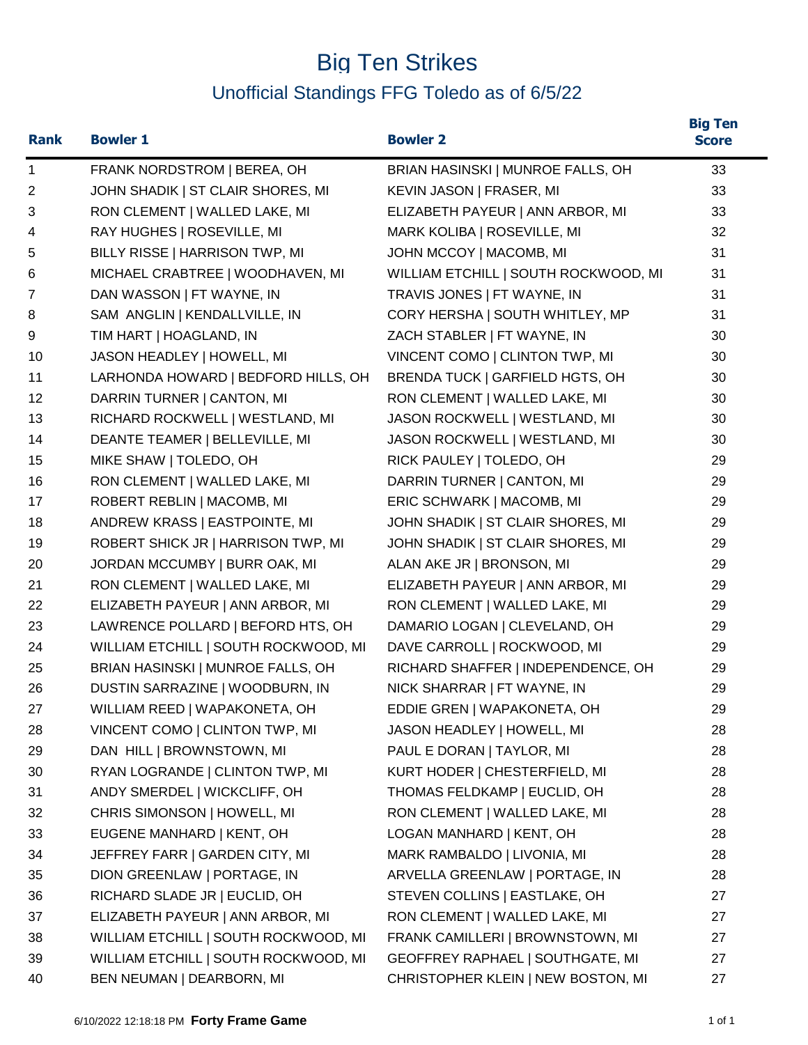## Big Ten Strikes Unofficial Standings FFG Toledo as of 6/5/22

| <b>Rank</b>    | <b>Bowler 1</b>                      | <b>Bowler 2</b>                      | <b>Big Ten</b><br><b>Score</b> |
|----------------|--------------------------------------|--------------------------------------|--------------------------------|
| $\mathbf{1}$   | FRANK NORDSTROM   BEREA, OH          | BRIAN HASINSKI   MUNROE FALLS, OH    | 33                             |
| $\overline{c}$ | JOHN SHADIK   ST CLAIR SHORES, MI    | KEVIN JASON   FRASER, MI             | 33                             |
| 3              | RON CLEMENT   WALLED LAKE, MI        | ELIZABETH PAYEUR   ANN ARBOR, MI     | 33                             |
| 4              | RAY HUGHES   ROSEVILLE, MI           | MARK KOLIBA   ROSEVILLE, MI          | 32                             |
| 5              | BILLY RISSE   HARRISON TWP, MI       | JOHN MCCOY   MACOMB, MI              | 31                             |
| 6              | MICHAEL CRABTREE   WOODHAVEN, MI     | WILLIAM ETCHILL   SOUTH ROCKWOOD, MI | 31                             |
| 7              | DAN WASSON   FT WAYNE, IN            | TRAVIS JONES   FT WAYNE, IN          | 31                             |
| 8              | SAM ANGLIN   KENDALLVILLE, IN        | CORY HERSHA   SOUTH WHITLEY, MP      | 31                             |
| 9              | TIM HART   HOAGLAND, IN              | ZACH STABLER   FT WAYNE, IN          | 30                             |
| 10             | JASON HEADLEY   HOWELL, MI           | VINCENT COMO   CLINTON TWP, MI       | 30                             |
| 11             | LARHONDA HOWARD   BEDFORD HILLS, OH  | BRENDA TUCK   GARFIELD HGTS, OH      | 30                             |
| 12             | DARRIN TURNER   CANTON, MI           | RON CLEMENT   WALLED LAKE, MI        | 30                             |
| 13             | RICHARD ROCKWELL   WESTLAND, MI      | JASON ROCKWELL   WESTLAND, MI        | 30                             |
| 14             | DEANTE TEAMER   BELLEVILLE, MI       | JASON ROCKWELL   WESTLAND, MI        | 30                             |
| 15             | MIKE SHAW   TOLEDO, OH               | RICK PAULEY   TOLEDO, OH             | 29                             |
| 16             | RON CLEMENT   WALLED LAKE, MI        | DARRIN TURNER   CANTON, MI           | 29                             |
| 17             | ROBERT REBLIN   MACOMB, MI           | ERIC SCHWARK   MACOMB, MI            | 29                             |
| 18             | ANDREW KRASS   EASTPOINTE, MI        | JOHN SHADIK   ST CLAIR SHORES, MI    | 29                             |
| 19             | ROBERT SHICK JR   HARRISON TWP, MI   | JOHN SHADIK   ST CLAIR SHORES, MI    | 29                             |
| 20             | JORDAN MCCUMBY   BURR OAK, MI        | ALAN AKE JR   BRONSON, MI            | 29                             |
| 21             | RON CLEMENT   WALLED LAKE, MI        | ELIZABETH PAYEUR   ANN ARBOR, MI     | 29                             |
| 22             | ELIZABETH PAYEUR   ANN ARBOR, MI     | RON CLEMENT   WALLED LAKE, MI        | 29                             |
| 23             | LAWRENCE POLLARD   BEFORD HTS, OH    | DAMARIO LOGAN   CLEVELAND, OH        | 29                             |
| 24             | WILLIAM ETCHILL   SOUTH ROCKWOOD, MI | DAVE CARROLL   ROCKWOOD, MI          | 29                             |
| 25             | BRIAN HASINSKI   MUNROE FALLS, OH    | RICHARD SHAFFER   INDEPENDENCE, OH   | 29                             |
| 26             | DUSTIN SARRAZINE   WOODBURN, IN      | NICK SHARRAR   FT WAYNE, IN          | 29                             |
| 27             | WILLIAM REED   WAPAKONETA, OH        | EDDIE GREN   WAPAKONETA, OH          | 29                             |
| 28             | VINCENT COMO   CLINTON TWP, MI       | JASON HEADLEY   HOWELL, MI           | 28                             |
| 29             | DAN HILL   BROWNSTOWN, MI            | PAUL E DORAN   TAYLOR, MI            | 28                             |
| 30             | RYAN LOGRANDE   CLINTON TWP, MI      | KURT HODER   CHESTERFIELD, MI        | 28                             |
| 31             | ANDY SMERDEL   WICKCLIFF, OH         | THOMAS FELDKAMP   EUCLID, OH         | 28                             |
| 32             | CHRIS SIMONSON   HOWELL, MI          | RON CLEMENT   WALLED LAKE, MI        | 28                             |
| 33             | EUGENE MANHARD   KENT, OH            | LOGAN MANHARD   KENT, OH             | 28                             |
| 34             | JEFFREY FARR   GARDEN CITY, MI       | MARK RAMBALDO   LIVONIA, MI          | 28                             |
| 35             | DION GREENLAW   PORTAGE, IN          | ARVELLA GREENLAW   PORTAGE, IN       | 28                             |
| 36             | RICHARD SLADE JR   EUCLID, OH        | STEVEN COLLINS   EASTLAKE, OH        | 27                             |
| 37             | ELIZABETH PAYEUR   ANN ARBOR, MI     | RON CLEMENT   WALLED LAKE, MI        | 27                             |
| 38             | WILLIAM ETCHILL   SOUTH ROCKWOOD, MI | FRANK CAMILLERI   BROWNSTOWN, MI     | 27                             |
| 39             | WILLIAM ETCHILL   SOUTH ROCKWOOD, MI | GEOFFREY RAPHAEL   SOUTHGATE, MI     | 27                             |
| 40             | BEN NEUMAN   DEARBORN, MI            | CHRISTOPHER KLEIN   NEW BOSTON, MI   | 27                             |